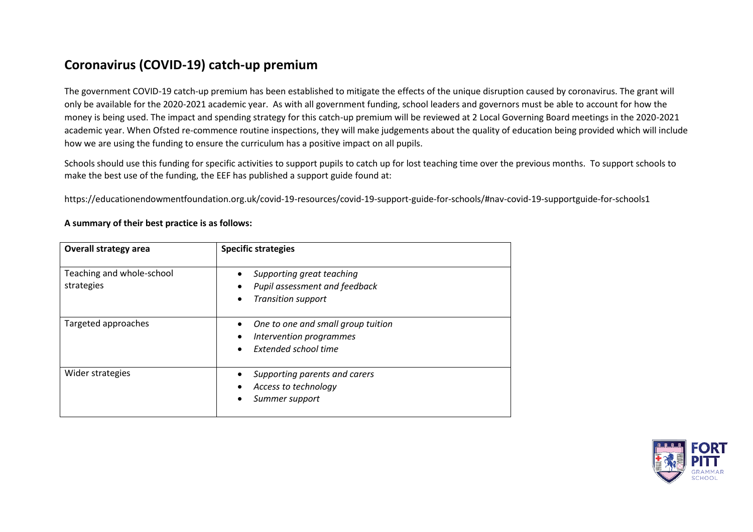## **Coronavirus (COVID-19) catch-up premium**

The government COVID-19 catch-up premium has been established to mitigate the effects of the unique disruption caused by coronavirus. The grant will only be available for the 2020-2021 academic year. As with all government funding, school leaders and governors must be able to account for how the money is being used. The impact and spending strategy for this catch-up premium will be reviewed at 2 Local Governing Board meetings in the 2020-2021 academic year. When Ofsted re-commence routine inspections, they will make judgements about the quality of education being provided which will include how we are using the funding to ensure the curriculum has a positive impact on all pupils.

Schools should use this funding for specific activities to support pupils to catch up for lost teaching time over the previous months. To support schools to make the best use of the funding, the EEF has published a support guide found at:

https://educationendowmentfoundation.org.uk/covid-19-resources/covid-19-support-guide-for-schools/#nav-covid-19-supportguide-for-schools1

| <b>Overall strategy area</b>            | <b>Specific strategies</b>                                                              |
|-----------------------------------------|-----------------------------------------------------------------------------------------|
| Teaching and whole-school<br>strategies | Supporting great teaching<br>Pupil assessment and feedback<br><b>Transition support</b> |
| Targeted approaches                     | One to one and small group tuition<br>Intervention programmes<br>Extended school time   |
| Wider strategies                        | Supporting parents and carers<br>Access to technology<br>Summer support                 |

## **A summary of their best practice is as follows:**

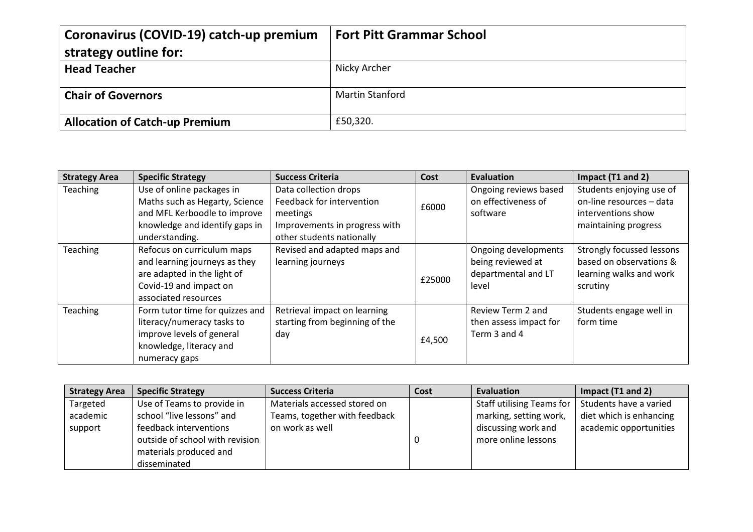| Coronavirus (COVID-19) catch-up premium<br>strategy outline for: | <b>Fort Pitt Grammar School</b> |
|------------------------------------------------------------------|---------------------------------|
| <b>Head Teacher</b>                                              | Nicky Archer                    |
| <b>Chair of Governors</b>                                        | <b>Martin Stanford</b>          |
| <b>Allocation of Catch-up Premium</b>                            | £50,320.                        |

| <b>Strategy Area</b> | <b>Specific Strategy</b>        | <b>Success Criteria</b>        | Cost   | Evaluation             | Impact (T1 and 2)         |
|----------------------|---------------------------------|--------------------------------|--------|------------------------|---------------------------|
| <b>Teaching</b>      | Use of online packages in       | Data collection drops          |        | Ongoing reviews based  | Students enjoying use of  |
|                      | Maths such as Hegarty, Science  | Feedback for intervention      | £6000  | on effectiveness of    | on-line resources - data  |
|                      | and MFL Kerboodle to improve    | meetings                       |        | software               | interventions show        |
|                      | knowledge and identify gaps in  | Improvements in progress with  |        |                        | maintaining progress      |
|                      | understanding.                  | other students nationally      |        |                        |                           |
| <b>Teaching</b>      | Refocus on curriculum maps      | Revised and adapted maps and   |        | Ongoing developments   | Strongly focussed lessons |
|                      | and learning journeys as they   | learning journeys              |        | being reviewed at      | based on observations &   |
|                      | are adapted in the light of     |                                | £25000 | departmental and LT    | learning walks and work   |
|                      | Covid-19 and impact on          |                                |        | level                  | scrutiny                  |
|                      | associated resources            |                                |        |                        |                           |
| <b>Teaching</b>      | Form tutor time for quizzes and | Retrieval impact on learning   |        | Review Term 2 and      | Students engage well in   |
|                      | literacy/numeracy tasks to      | starting from beginning of the |        | then assess impact for | form time                 |
|                      | improve levels of general       | day                            | £4,500 | Term 3 and 4           |                           |
|                      | knowledge, literacy and         |                                |        |                        |                           |
|                      | numeracy gaps                   |                                |        |                        |                           |

| <b>Strategy Area</b> | <b>Specific Strategy</b>        | <b>Success Criteria</b>       | Cost | Evaluation                | Impact (T1 and 2)       |
|----------------------|---------------------------------|-------------------------------|------|---------------------------|-------------------------|
| Targeted             | Use of Teams to provide in      | Materials accessed stored on  |      | Staff utilising Teams for | Students have a varied  |
| academic             | school "live lessons" and       | Teams, together with feedback |      | marking, setting work,    | diet which is enhancing |
| support              | feedback interventions          | on work as well               |      | discussing work and       | academic opportunities  |
|                      | outside of school with revision |                               |      | more online lessons       |                         |
|                      | materials produced and          |                               |      |                           |                         |
|                      | disseminated                    |                               |      |                           |                         |